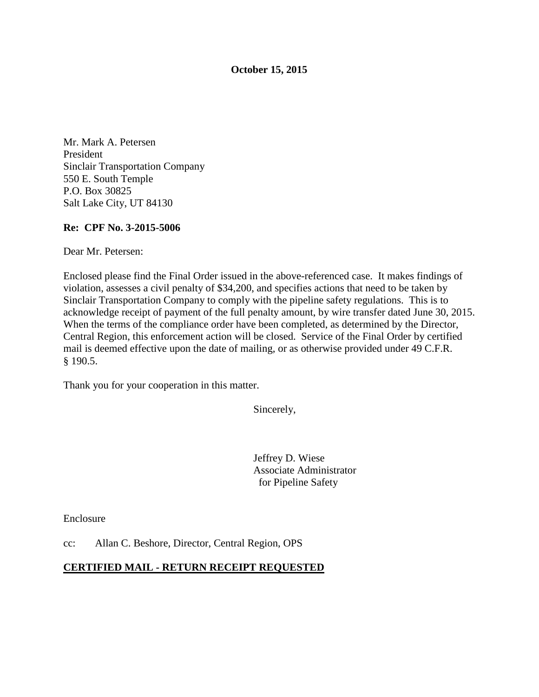#### **October 15, 2015**

Mr. Mark A. Petersen President Sinclair Transportation Company 550 E. South Temple P.O. Box 30825 Salt Lake City, UT 84130

#### **Re: CPF No. 3-2015-5006**

Dear Mr. Petersen:

Enclosed please find the Final Order issued in the above-referenced case. It makes findings of violation, assesses a civil penalty of \$34,200, and specifies actions that need to be taken by Sinclair Transportation Company to comply with the pipeline safety regulations. This is to acknowledge receipt of payment of the full penalty amount, by wire transfer dated June 30, 2015. When the terms of the compliance order have been completed, as determined by the Director, Central Region, this enforcement action will be closed. Service of the Final Order by certified mail is deemed effective upon the date of mailing, or as otherwise provided under 49 C.F.R. § 190.5.

Thank you for your cooperation in this matter.

Sincerely,

Jeffrey D. Wiese Associate Administrator for Pipeline Safety

Enclosure

cc: Allan C. Beshore, Director, Central Region, OPS

#### **CERTIFIED MAIL - RETURN RECEIPT REQUESTED**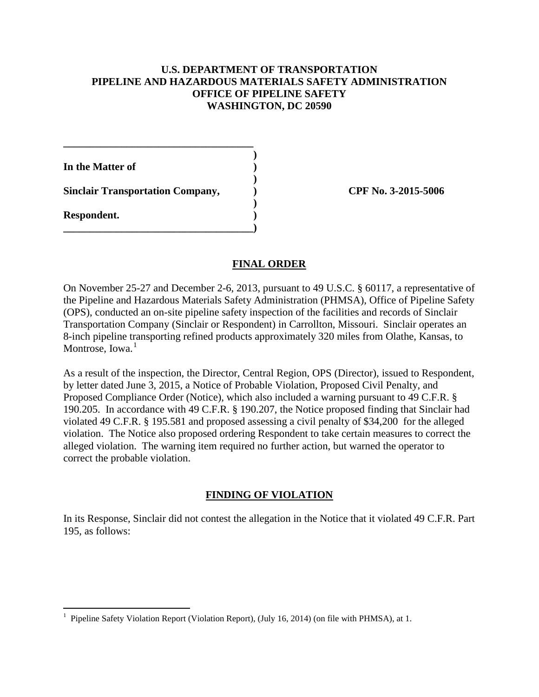### **U.S. DEPARTMENT OF TRANSPORTATION PIPELINE AND HAZARDOUS MATERIALS SAFETY ADMINISTRATION OFFICE OF PIPELINE SAFETY WASHINGTON, DC 20590**

 **) In the Matter of ) )** 

Sinclair Transportation Company,  $\qquad \qquad$  CPF No. 3-2015-5006  **)** 

**\_\_\_\_\_\_\_\_\_\_\_\_\_\_\_\_\_\_\_\_\_\_\_\_\_\_\_\_\_\_\_\_\_\_\_\_** 

**\_\_\_\_\_\_\_\_\_\_\_\_\_\_\_\_\_\_\_\_\_\_\_\_\_\_\_\_\_\_\_\_\_\_\_\_)** 

**Respondent. )** 

## **FINAL ORDER**

On November 25-27 and December 2-6, 2013, pursuant to 49 U.S.C. § 60117, a representative of the Pipeline and Hazardous Materials Safety Administration (PHMSA), Office of Pipeline Safety (OPS), conducted an on-site pipeline safety inspection of the facilities and records of Sinclair Transportation Company (Sinclair or Respondent) in Carrollton, Missouri. Sinclair operates an 8-inch pipeline transporting refined products approximately 320 miles from Olathe, Kansas, to Montrose, Iowa. $<sup>1</sup>$ </sup>

As a result of the inspection, the Director, Central Region, OPS (Director), issued to Respondent, by letter dated June 3, 2015, a Notice of Probable Violation, Proposed Civil Penalty, and Proposed Compliance Order (Notice), which also included a warning pursuant to 49 C.F.R. § 190.205. In accordance with 49 C.F.R. § 190.207, the Notice proposed finding that Sinclair had violated 49 C.F.R. § 195.581 and proposed assessing a civil penalty of \$34,200 for the alleged violation. The Notice also proposed ordering Respondent to take certain measures to correct the alleged violation. The warning item required no further action, but warned the operator to correct the probable violation.

## **FINDING OF VIOLATION**

In its Response, Sinclair did not contest the allegation in the Notice that it violated 49 C.F.R. Part 195, as follows:

<sup>&</sup>lt;sup>1</sup> Pipeline Safety Violation Report (Violation Report), (July 16, 2014) (on file with PHMSA), at 1.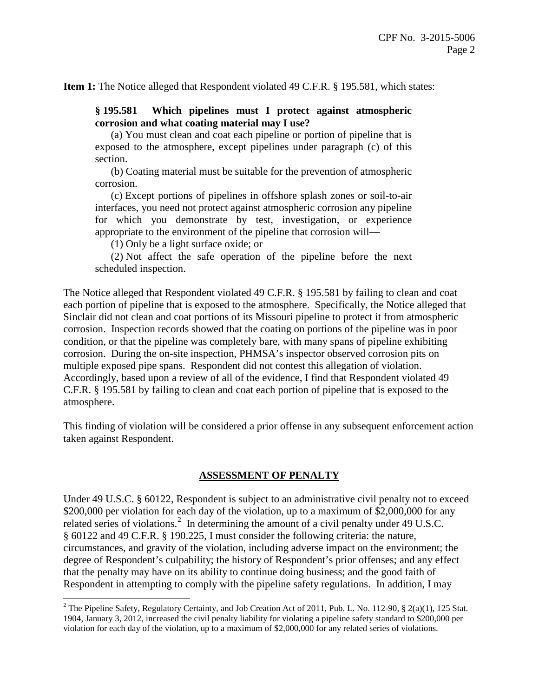**Item 1:** The Notice alleged that Respondent violated 49 C.F.R. § 195.581, which states:

### **§ 195.581 Which pipelines must I protect against atmospheric corrosion and what coating material may I use?**

(a) You must clean and coat each pipeline or portion of pipeline that is exposed to the atmosphere, except pipelines under paragraph (c) of this section.

(b) Coating material must be suitable for the prevention of atmospheric corrosion.

(c) Except portions of pipelines in offshore splash zones or soil-to-air interfaces, you need not protect against atmospheric corrosion any pipeline for which you demonstrate by test, investigation, or experience appropriate to the environment of the pipeline that corrosion will—

(1) Only be a light surface oxide; or

(2) Not affect the safe operation of the pipeline before the next scheduled inspection.

The Notice alleged that Respondent violated 49 C.F.R. § 195.581 by failing to clean and coat each portion of pipeline that is exposed to the atmosphere. Specifically, the Notice alleged that Sinclair did not clean and coat portions of its Missouri pipeline to protect it from atmospheric corrosion. Inspection records showed that the coating on portions of the pipeline was in poor condition, or that the pipeline was completely bare, with many spans of pipeline exhibiting corrosion. During the on-site inspection, PHMSA's inspector observed corrosion pits on multiple exposed pipe spans. Respondent did not contest this allegation of violation. Accordingly, based upon a review of all of the evidence, I find that Respondent violated 49 C.F.R. § 195.581 by failing to clean and coat each portion of pipeline that is exposed to the atmosphere.

This finding of violation will be considered a prior offense in any subsequent enforcement action taken against Respondent.

## **ASSESSMENT OF PENALTY**

Under 49 U.S.C. § 60122, Respondent is subject to an administrative civil penalty not to exceed \$200,000 per violation for each day of the violation, up to a maximum of \$2,000,000 for any related series of violations.<sup>2</sup> In determining the amount of a civil penalty under 49 U.S.C. § 60122 and 49 C.F.R. § 190.225, I must consider the following criteria: the nature, circumstances, and gravity of the violation, including adverse impact on the environment; the degree of Respondent's culpability; the history of Respondent's prior offenses; and any effect that the penalty may have on its ability to continue doing business; and the good faith of Respondent in attempting to comply with the pipeline safety regulations. In addition, I may

 $\overline{a}$ <sup>2</sup> The Pipeline Safety, Regulatory Certainty, and Job Creation Act of 2011, Pub. L. No. 112-90,  $\S$  2(a)(1), 125 Stat. 1904, January 3, 2012, increased the civil penalty liability for violating a pipeline safety standard to \$200,000 per violation for each day of the violation, up to a maximum of \$2,000,000 for any related series of violations.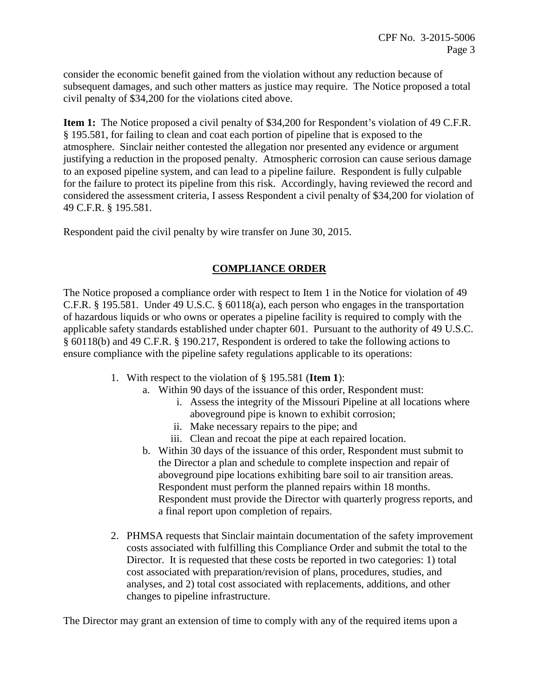consider the economic benefit gained from the violation without any reduction because of subsequent damages, and such other matters as justice may require. The Notice proposed a total civil penalty of \$34,200 for the violations cited above.

**Item 1:** The Notice proposed a civil penalty of \$34,200 for Respondent's violation of 49 C.F.R. § 195.581, for failing to clean and coat each portion of pipeline that is exposed to the atmosphere. Sinclair neither contested the allegation nor presented any evidence or argument justifying a reduction in the proposed penalty. Atmospheric corrosion can cause serious damage to an exposed pipeline system, and can lead to a pipeline failure. Respondent is fully culpable for the failure to protect its pipeline from this risk. Accordingly, having reviewed the record and considered the assessment criteria, I assess Respondent a civil penalty of \$34,200 for violation of 49 C.F.R. § 195.581.

Respondent paid the civil penalty by wire transfer on June 30, 2015.

# **COMPLIANCE ORDER**

The Notice proposed a compliance order with respect to Item 1 in the Notice for violation of 49 C.F.R. § 195.581. Under 49 U.S.C. § 60118(a), each person who engages in the transportation of hazardous liquids or who owns or operates a pipeline facility is required to comply with the applicable safety standards established under chapter 601. Pursuant to the authority of 49 U.S.C. § 60118(b) and 49 C.F.R. § 190.217, Respondent is ordered to take the following actions to ensure compliance with the pipeline safety regulations applicable to its operations:

- 1. With respect to the violation of § 195.581 (**Item 1**):
	- a. Within 90 days of the issuance of this order, Respondent must:
		- i. Assess the integrity of the Missouri Pipeline at all locations where aboveground pipe is known to exhibit corrosion;
		- ii. Make necessary repairs to the pipe; and
		- iii. Clean and recoat the pipe at each repaired location.
	- b. Within 30 days of the issuance of this order, Respondent must submit to the Director a plan and schedule to complete inspection and repair of aboveground pipe locations exhibiting bare soil to air transition areas. Respondent must perform the planned repairs within 18 months. Respondent must provide the Director with quarterly progress reports, and a final report upon completion of repairs.
- 2. PHMSA requests that Sinclair maintain documentation of the safety improvement costs associated with fulfilling this Compliance Order and submit the total to the Director. It is requested that these costs be reported in two categories: 1) total cost associated with preparation/revision of plans, procedures, studies, and analyses, and 2) total cost associated with replacements, additions, and other changes to pipeline infrastructure.

The Director may grant an extension of time to comply with any of the required items upon a